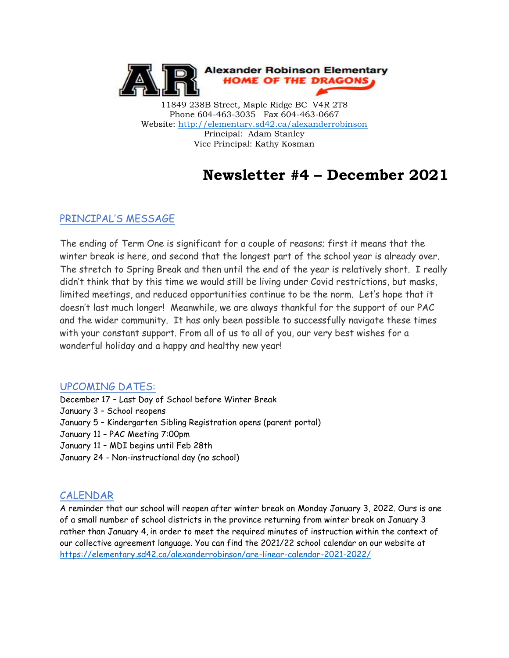

11849 238B Street, Maple Ridge BC V4R 2T8 Phone 604-463-3035 Fax 604-463-0667 Website:<http://elementary.sd42.ca/alexanderrobinson> Principal: Adam Stanley Vice Principal: Kathy Kosman

# **Newsletter #4 – December 2021**

#### PRINCIPAL'S MESSAGE

The ending of Term One is significant for a couple of reasons; first it means that the winter break is here, and second that the longest part of the school year is already over. The stretch to Spring Break and then until the end of the year is relatively short. I really didn't think that by this time we would still be living under Covid restrictions, but masks, limited meetings, and reduced opportunities continue to be the norm. Let's hope that it doesn't last much longer! Meanwhile, we are always thankful for the support of our PAC and the wider community. It has only been possible to successfully navigate these times with your constant support. From all of us to all of you, our very best wishes for a wonderful holiday and a happy and healthy new year!

#### UPCOMING DATES:

- December 17 Last Day of School before Winter Break
- January 3 School reopens
- January 5 Kindergarten Sibling Registration opens (parent portal)
- January 11 PAC Meeting 7:00pm
- January 11 MDI begins until Feb 28th
- January 24 Non-instructional day (no school)

## CALENDAR

A reminder that our school will reopen after winter break on Monday January 3, 2022. Ours is one of a small number of school districts in the province returning from winter break on January 3 rather than January 4, in order to meet the required minutes of instruction within the context of our collective agreement language. You can find the 2021/22 school calendar on our website at <https://elementary.sd42.ca/alexanderrobinson/are-linear-calendar-2021-2022/>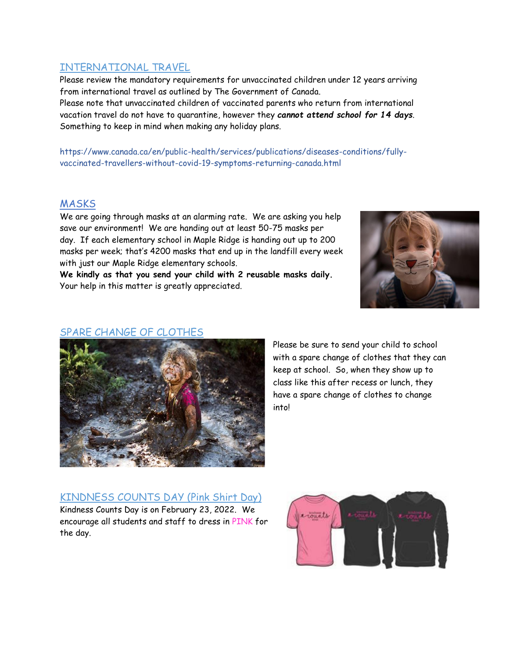### INTERNATIONAL TRAVEL

Please review the mandatory requirements for unvaccinated children under 12 years arriving from international travel as outlined by The Government of Canada.

Please note that unvaccinated children of vaccinated parents who return from international vacation travel do not have to quarantine, however they *cannot attend school for 14 days*. Something to keep in mind when making any holiday plans.

https://www.canada.ca/en/public-health/services/publications/diseases-conditions/fullyvaccinated-travellers-without-covid-19-symptoms-returning-canada.html

#### MASKS

We are going through masks at an alarming rate. We are asking you help save our environment! We are handing out at least 50-75 masks per day. If each elementary school in Maple Ridge is handing out up to 200 masks per week; that's 4200 masks that end up in the landfill every week with just our Maple Ridge elementary schools.

**We kindly as that you send your child with 2 reusable masks daily.** Your help in this matter is greatly appreciated.



#### SPARE CHANGE OF CLOTHES



Please be sure to send your child to school with a spare change of clothes that they can keep at school. So, when they show up to class like this after recess or lunch, they have a spare change of clothes to change into!

## KINDNESS COUNTS DAY (Pink Shirt Day)

Kindness Counts Day is on February 23, 2022. We encourage all students and staff to dress in PINK for the day.

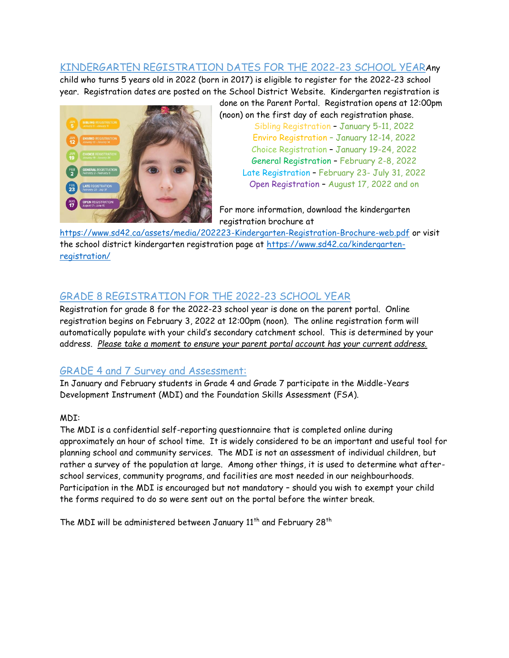## KINDERGARTEN REGISTRATION DATES FOR THE 2022-23 SCHOOL YEARAny

child who turns 5 years old in 2022 (born in 2017) is eligible to register for the 2022-23 school year. Registration dates are posted on the School District Website. Kindergarten registration is



done on the Parent Portal. Registration opens at 12:00pm (noon) on the first day of each registration phase. Sibling Registration – January 5-11, 2022 Enviro Registration – January 12-14, 2022 Choice Registration – January 19-24, 2022 General Registration – February 2-8, 2022 Late Registration – February 23- July 31, 2022 Open Registration – August 17, 2022 and on

For more information, download the kindergarten registration brochure at

<https://www.sd42.ca/assets/media/202223-Kindergarten-Registration-Brochure-web.pdf> or visit the school district kindergarten registration page at [https://www.sd42.ca/kindergarten](https://www.sd42.ca/kindergarten-registration/)[registration/](https://www.sd42.ca/kindergarten-registration/)

## GRADE 8 REGISTRATION FOR THE 2022-23 SCHOOL YEAR

Registration for grade 8 for the 2022-23 school year is done on the parent portal. Online registration begins on February 3, 2022 at 12:00pm (noon). The online registration form will automatically populate with your child's secondary catchment school. This is determined by your address. *Please take a moment to ensure your parent portal account has your current address.*

## GRADE 4 and 7 Survey and Assessment:

In January and February students in Grade 4 and Grade 7 participate in the Middle-Years Development Instrument (MDI) and the Foundation Skills Assessment (FSA).

#### MDI:

The MDI is a confidential self-reporting questionnaire that is completed online during approximately an hour of school time. It is widely considered to be an important and useful tool for planning school and community services. The MDI is not an assessment of individual children, but rather a survey of the population at large. Among other things, it is used to determine what afterschool services, community programs, and facilities are most needed in our neighbourhoods. Participation in the MDI is encouraged but not mandatory – should you wish to exempt your child the forms required to do so were sent out on the portal before the winter break.

The MDI will be administered between January  $11<sup>th</sup>$  and February 28<sup>th</sup>